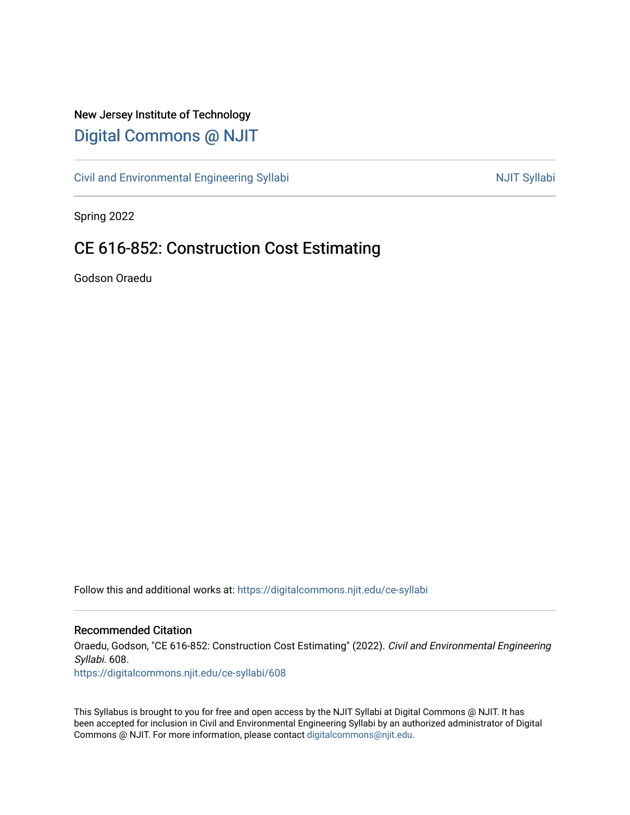# New Jersey Institute of Technology [Digital Commons @ NJIT](https://digitalcommons.njit.edu/)

[Civil and Environmental Engineering Syllabi](https://digitalcommons.njit.edu/ce-syllabi) Nulle and Syllabi NJIT Syllabi

Spring 2022

# CE 616-852: Construction Cost Estimating

Godson Oraedu

Follow this and additional works at: [https://digitalcommons.njit.edu/ce-syllabi](https://digitalcommons.njit.edu/ce-syllabi?utm_source=digitalcommons.njit.edu%2Fce-syllabi%2F608&utm_medium=PDF&utm_campaign=PDFCoverPages)

#### Recommended Citation

Oraedu, Godson, "CE 616-852: Construction Cost Estimating" (2022). Civil and Environmental Engineering Syllabi. 608.

[https://digitalcommons.njit.edu/ce-syllabi/608](https://digitalcommons.njit.edu/ce-syllabi/608?utm_source=digitalcommons.njit.edu%2Fce-syllabi%2F608&utm_medium=PDF&utm_campaign=PDFCoverPages)

This Syllabus is brought to you for free and open access by the NJIT Syllabi at Digital Commons @ NJIT. It has been accepted for inclusion in Civil and Environmental Engineering Syllabi by an authorized administrator of Digital Commons @ NJIT. For more information, please contact [digitalcommons@njit.edu.](mailto:digitalcommons@njit.edu)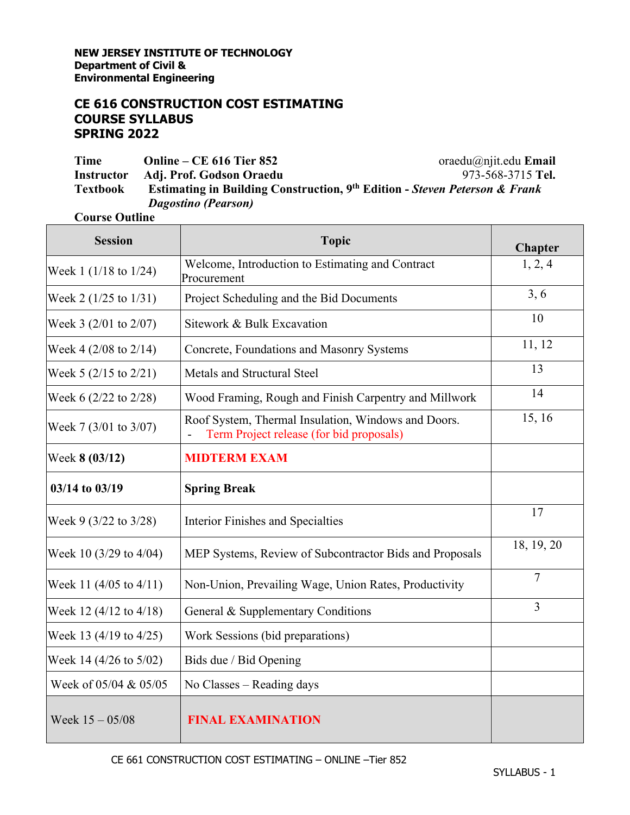# **CE 616 CONSTRUCTION COST ESTIMATING COURSE SYLLABUS SPRING 2022**

**Time Online – CE 616 Tier 852 Instructor Adj. Prof. Godson Oraedu** oraedu@njit.edu **Email** 973-568-3715 **Tel. Textbook Estimating in Building Construction, 9th Edition -** *Steven Peterson & Frank Dagostino (Pearson)*

#### **Course Outline**

| <b>Session</b>                    | <b>Topic</b>                                                                                    | Chapter    |
|-----------------------------------|-------------------------------------------------------------------------------------------------|------------|
| Week 1 $(1/18 \text{ to } 1/24)$  | Welcome, Introduction to Estimating and Contract<br>Procurement                                 | 1, 2, 4    |
| Week 2 $(1/25 \text{ to } 1/31)$  | Project Scheduling and the Bid Documents                                                        | 3, 6       |
| Week 3 $(2/01$ to $2/07)$         | Sitework & Bulk Excavation                                                                      | 10         |
| Week 4 $(2/08 \text{ to } 2/14)$  | Concrete, Foundations and Masonry Systems                                                       | 11, 12     |
| Week 5 $(2/15$ to $2/21)$         | Metals and Structural Steel                                                                     | 13         |
| Week $6(2/22 \text{ to } 2/28)$   | Wood Framing, Rough and Finish Carpentry and Millwork                                           | 14         |
| Week 7 (3/01 to 3/07)             | Roof System, Thermal Insulation, Windows and Doors.<br>Term Project release (for bid proposals) | 15, 16     |
| Week 8 (03/12)                    | <b>MIDTERM EXAM</b>                                                                             |            |
| 03/14 to 03/19                    | <b>Spring Break</b>                                                                             |            |
| Week 9 (3/22 to 3/28)             | <b>Interior Finishes and Specialties</b>                                                        | 17         |
| Week 10 $(3/29)$ to 4/04)         | MEP Systems, Review of Subcontractor Bids and Proposals                                         | 18, 19, 20 |
| Week 11 (4/05 to 4/11)            | Non-Union, Prevailing Wage, Union Rates, Productivity                                           | 7          |
| Week 12 $(4/12 \text{ to } 4/18)$ | General & Supplementary Conditions                                                              | 3          |
| Week 13 $(4/19$ to $4/25)$        | Work Sessions (bid preparations)                                                                |            |
| Week 14 (4/26 to 5/02)            | Bids due / Bid Opening                                                                          |            |
| Week of 05/04 & 05/05             | No Classes – Reading days                                                                       |            |
| Week $15 - 05/08$                 | <b>FINAL EXAMINATION</b>                                                                        |            |